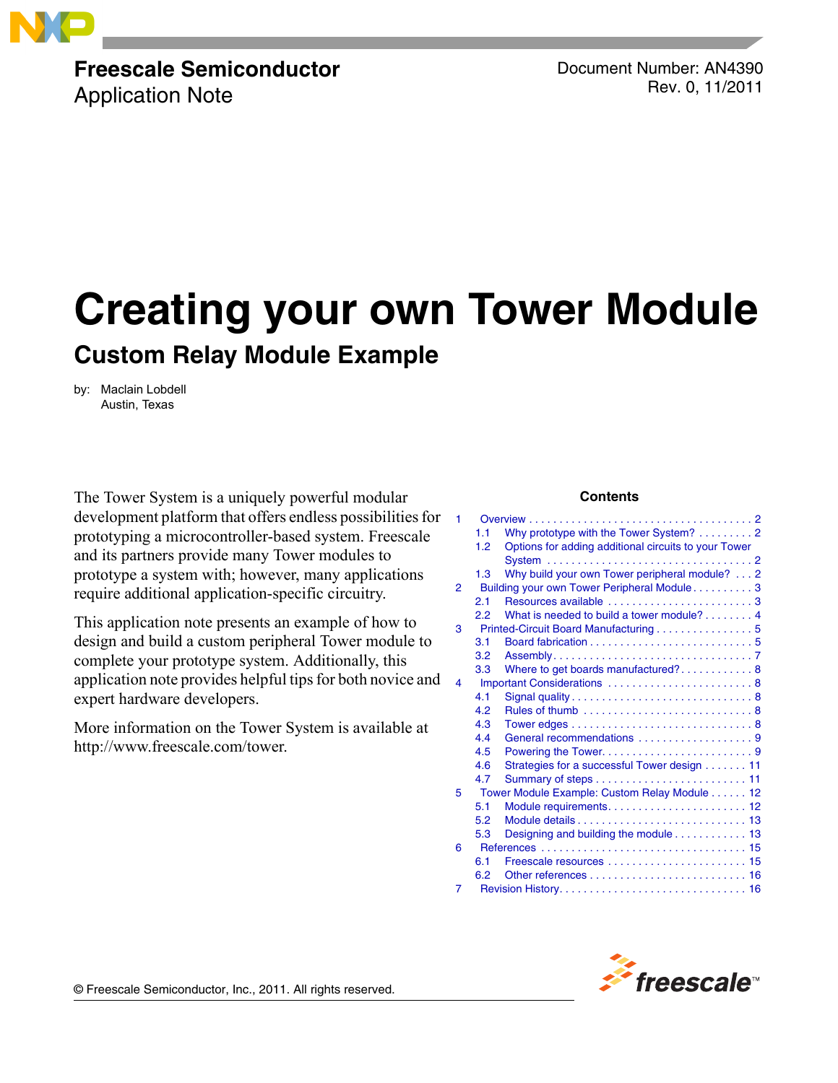

# **Freescale Semiconductor**

Application Note

Document Number: AN4390 Rev. 0, 11/2011

# **Creating your own Tower Module Custom Relay Module Example**

by: Maclain Lobdell Austin, Texas

The Tower System is a uniquely powerful modular development platform that offers endless possibilities for prototyping a microcontroller-based system. Freescale and its partners provide many Tower modules to prototype a system with; however, many applications require additional application-specific circuitry.

This application note presents an example of how to design and build a custom peripheral Tower module to complete your prototype system. Additionally, this application note provides helpful tips for both novice and expert hardware developers.

More information on the Tower System is available at http://www.freescale.com/tower.

### **Contents**

| 1 |                                              |                                                      |  |
|---|----------------------------------------------|------------------------------------------------------|--|
|   | 1.1                                          | Why prototype with the Tower System? 2               |  |
|   | 1.2                                          | Options for adding additional circuits to your Tower |  |
|   |                                              |                                                      |  |
|   | 1.3                                          | Why build your own Tower peripheral module? 2        |  |
| 2 | Building your own Tower Peripheral Module3   |                                                      |  |
|   | 2.1                                          |                                                      |  |
|   | 2.2                                          | What is needed to build a tower module? 4            |  |
| 3 | Printed-Circuit Board Manufacturing 5        |                                                      |  |
|   | 3.1                                          |                                                      |  |
|   | 3.2                                          |                                                      |  |
|   | 3.3                                          | Where to get boards manufactured? 8                  |  |
| 4 |                                              |                                                      |  |
|   | 4.1                                          |                                                      |  |
|   | 4.2                                          |                                                      |  |
|   | 4.3                                          |                                                      |  |
|   | 4.4                                          | General recommendations 9                            |  |
|   | 4.5                                          |                                                      |  |
|   | 4.6                                          | Strategies for a successful Tower design 11          |  |
|   | 4.7                                          |                                                      |  |
| 5 | Tower Module Example: Custom Relay Module 12 |                                                      |  |
|   | 5.1                                          |                                                      |  |
|   | 5.2                                          |                                                      |  |
|   | 5.3                                          | Designing and building the module 13                 |  |
| 6 |                                              |                                                      |  |
|   | 6.1                                          |                                                      |  |
|   | 6.2                                          |                                                      |  |
| 7 |                                              |                                                      |  |



© Freescale Semiconductor, Inc., 2011. All rights reserved.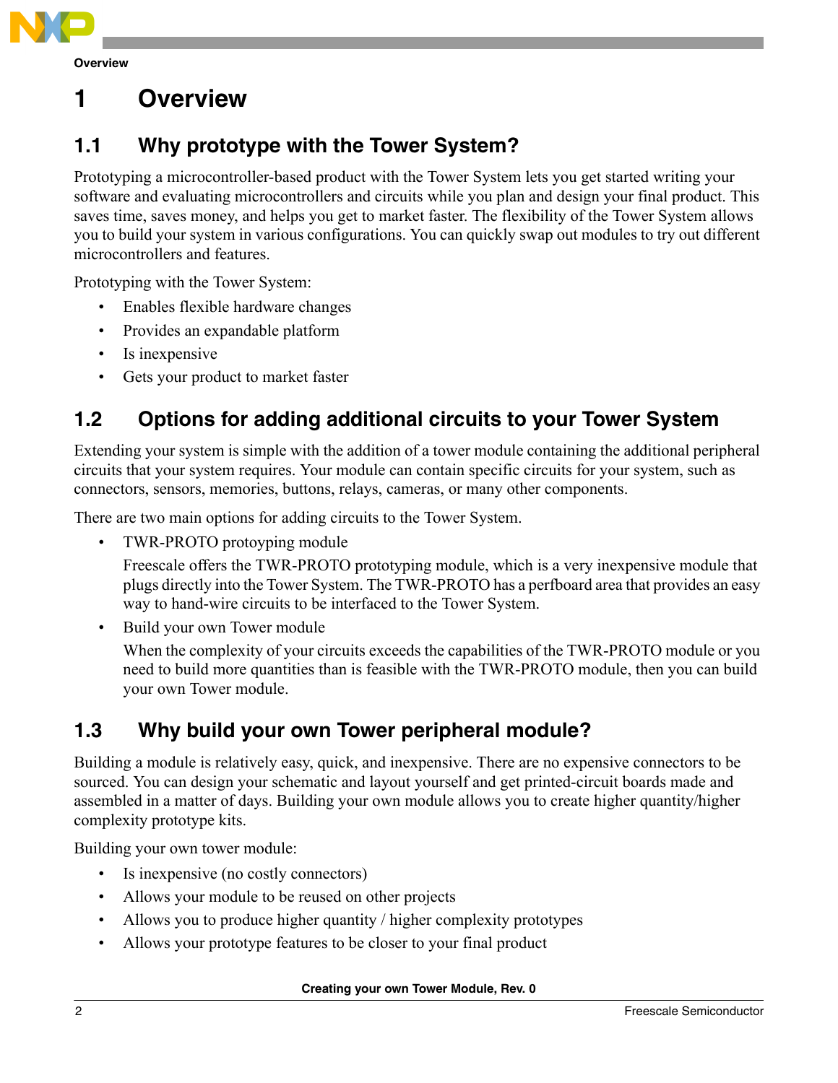

# <span id="page-1-0"></span>**1 Overview**

# <span id="page-1-1"></span>**1.1 Why prototype with the Tower System?**

Prototyping a microcontroller-based product with the Tower System lets you get started writing your software and evaluating microcontrollers and circuits while you plan and design your final product. This saves time, saves money, and helps you get to market faster. The flexibility of the Tower System allows you to build your system in various configurations. You can quickly swap out modules to try out different microcontrollers and features.

Prototyping with the Tower System:

- Enables flexible hardware changes
- Provides an expandable platform
- Is inexpensive
- Gets your product to market faster

# <span id="page-1-2"></span>**1.2 Options for adding additional circuits to your Tower System**

Extending your system is simple with the addition of a tower module containing the additional peripheral circuits that your system requires. Your module can contain specific circuits for your system, such as connectors, sensors, memories, buttons, relays, cameras, or many other components.

There are two main options for adding circuits to the Tower System.

• TWR-PROTO protoyping module

Freescale offers the TWR-PROTO prototyping module, which is a very inexpensive module that plugs directly into the Tower System. The TWR-PROTO has a perfboard area that provides an easy way to hand-wire circuits to be interfaced to the Tower System.

• Build your own Tower module

When the complexity of your circuits exceeds the capabilities of the TWR-PROTO module or you need to build more quantities than is feasible with the TWR-PROTO module, then you can build your own Tower module.

# <span id="page-1-3"></span>**1.3 Why build your own Tower peripheral module?**

Building a module is relatively easy, quick, and inexpensive. There are no expensive connectors to be sourced. You can design your schematic and layout yourself and get printed-circuit boards made and assembled in a matter of days. Building your own module allows you to create higher quantity/higher complexity prototype kits.

Building your own tower module:

- Is inexpensive (no costly connectors)
- Allows your module to be reused on other projects
- Allows you to produce higher quantity / higher complexity prototypes
- Allows your prototype features to be closer to your final product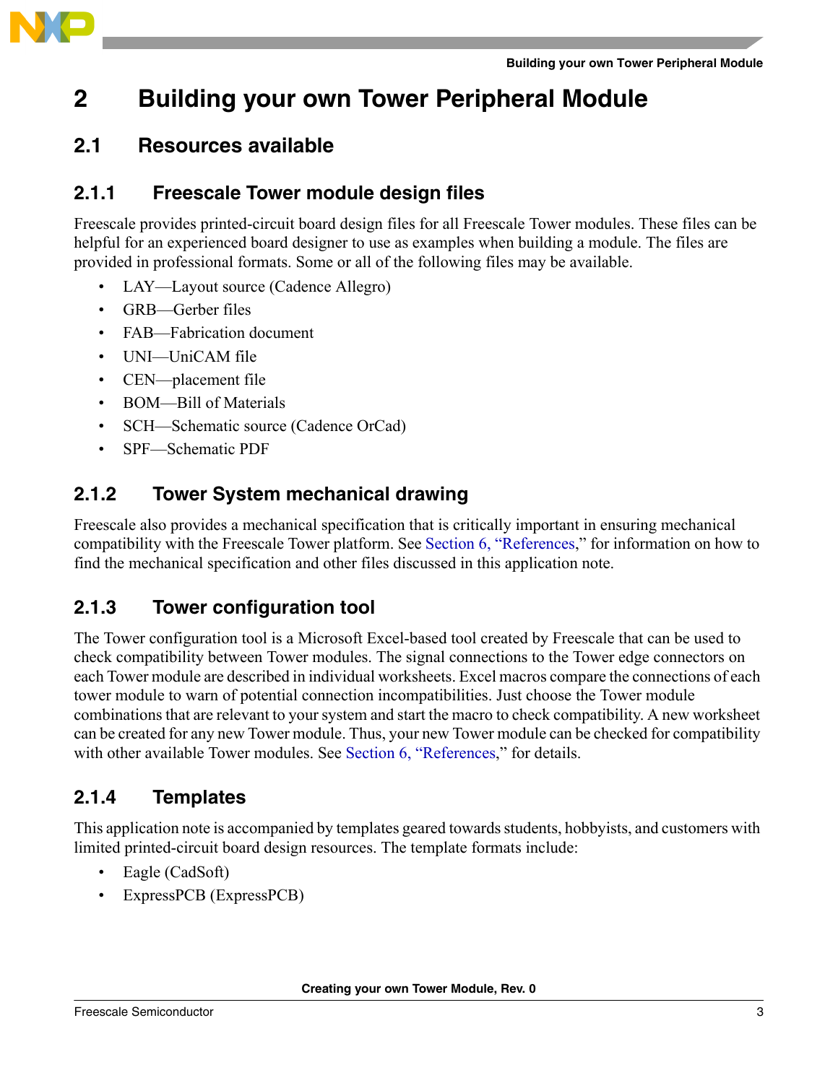

# <span id="page-2-0"></span>**2 Building your own Tower Peripheral Module**

# <span id="page-2-1"></span>**2.1 Resources available**

# **2.1.1 Freescale Tower module design files**

Freescale provides printed-circuit board design files for all Freescale Tower modules. These files can be helpful for an experienced board designer to use as examples when building a module. The files are provided in professional formats. Some or all of the following files may be available.

- LAY—Layout source (Cadence Allegro)
- GRB—Gerber files
- FAB—Fabrication document
- UNI—UniCAM file
- CEN—placement file
- BOM—Bill of Materials
- SCH—Schematic source (Cadence OrCad)
- SPF—Schematic PDF

# **2.1.2 Tower System mechanical drawing**

Freescale also provides a mechanical specification that is critically important in ensuring mechanical compatibility with the Freescale Tower platform. See [Section 6, "References](#page-14-0)," for information on how to find the mechanical specification and other files discussed in this application note.

# **2.1.3 Tower configuration tool**

The Tower configuration tool is a Microsoft Excel-based tool created by Freescale that can be used to check compatibility between Tower modules. The signal connections to the Tower edge connectors on each Tower module are described in individual worksheets. Excel macros compare the connections of each tower module to warn of potential connection incompatibilities. Just choose the Tower module combinations that are relevant to your system and start the macro to check compatibility. A new worksheet can be created for any new Tower module. Thus, your new Tower module can be checked for compatibility with other available Tower modules. See [Section 6, "References](#page-14-0)," for details.

# **2.1.4 Templates**

This application note is accompanied by templates geared towards students, hobbyists, and customers with limited printed-circuit board design resources. The template formats include:

- Eagle (CadSoft)
- ExpressPCB (ExpressPCB)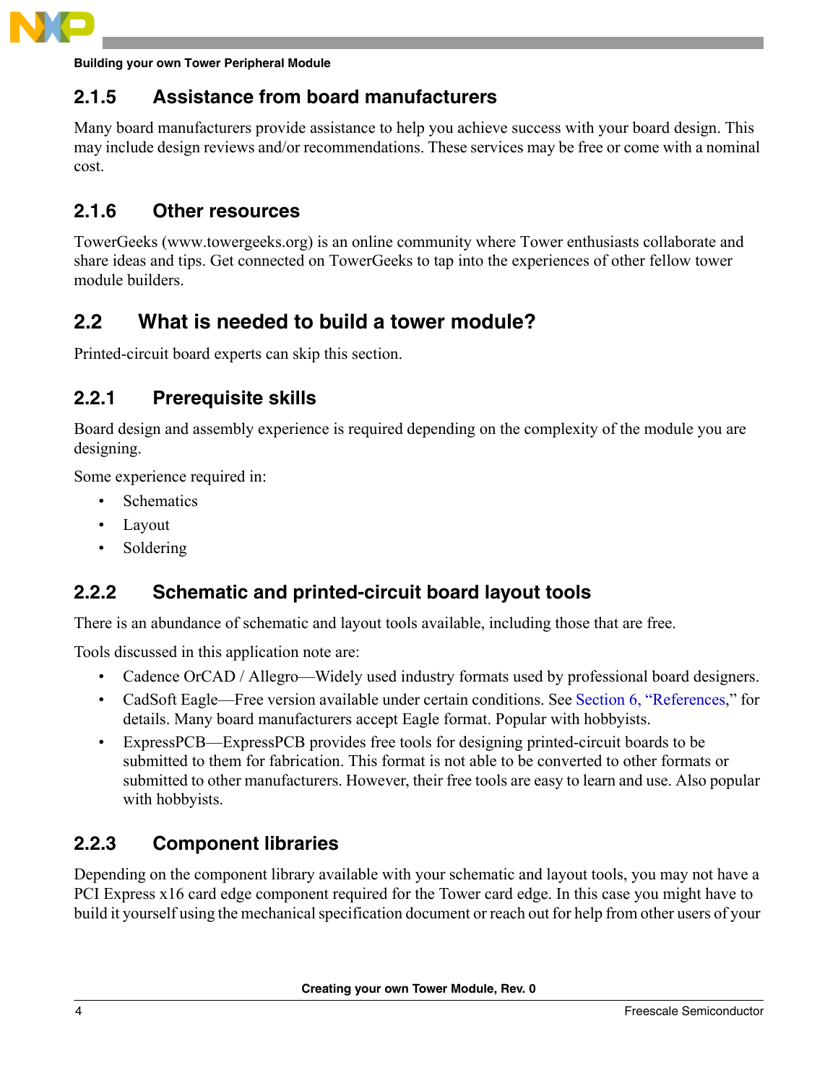

**Building your own Tower Peripheral Module**

# **2.1.5 Assistance from board manufacturers**

Many board manufacturers provide assistance to help you achieve success with your board design. This may include design reviews and/or recommendations. These services may be free or come with a nominal cost.

# **2.1.6 Other resources**

TowerGeeks (www.towergeeks.org) is an online community where Tower enthusiasts collaborate and share ideas and tips. Get connected on TowerGeeks to tap into the experiences of other fellow tower module builders.

# <span id="page-3-0"></span>**2.2 What is needed to build a tower module?**

Printed-circuit board experts can skip this section.

# **2.2.1 Prerequisite skills**

Board design and assembly experience is required depending on the complexity of the module you are designing.

Some experience required in:

- **Schematics**
- Layout
- Soldering

# **2.2.2 Schematic and printed-circuit board layout tools**

There is an abundance of schematic and layout tools available, including those that are free.

Tools discussed in this application note are:

- Cadence OrCAD / Allegro—Widely used industry formats used by professional board designers.
- CadSoft Eagle—Free version available under certain conditions. See [Section 6, "References](#page-14-0)," for details. Many board manufacturers accept Eagle format. Popular with hobbyists.
- ExpressPCB—ExpressPCB provides free tools for designing printed-circuit boards to be submitted to them for fabrication. This format is not able to be converted to other formats or submitted to other manufacturers. However, their free tools are easy to learn and use. Also popular with hobbyists.

# **2.2.3 Component libraries**

Depending on the component library available with your schematic and layout tools, you may not have a PCI Express x16 card edge component required for the Tower card edge. In this case you might have to build it yourself using the mechanical specification document or reach out for help from other users of your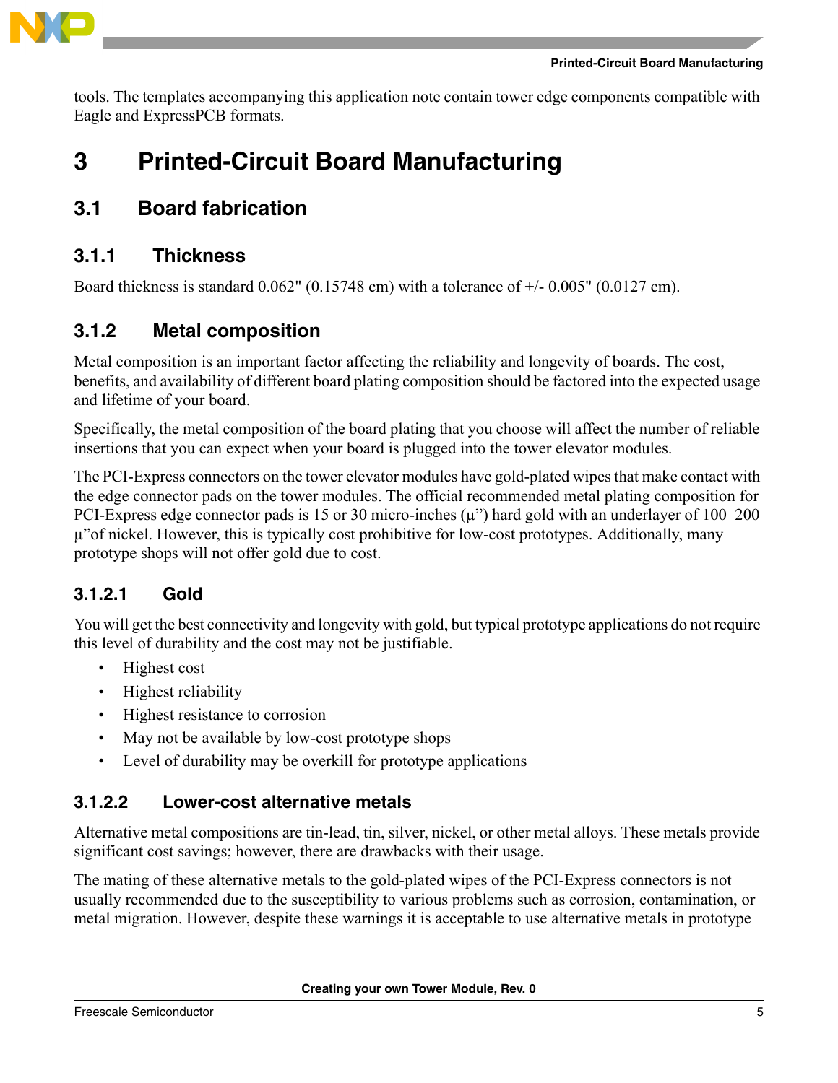

tools. The templates accompanying this application note contain tower edge components compatible with Eagle and ExpressPCB formats.

# <span id="page-4-0"></span>**3 Printed-Circuit Board Manufacturing**

# <span id="page-4-1"></span>**3.1 Board fabrication**

# **3.1.1 Thickness**

Board thickness is standard 0.062" (0.15748 cm) with a tolerance of +/- 0.005" (0.0127 cm).

# **3.1.2 Metal composition**

Metal composition is an important factor affecting the reliability and longevity of boards. The cost, benefits, and availability of different board plating composition should be factored into the expected usage and lifetime of your board.

Specifically, the metal composition of the board plating that you choose will affect the number of reliable insertions that you can expect when your board is plugged into the tower elevator modules.

The PCI-Express connectors on the tower elevator modules have gold-plated wipes that make contact with the edge connector pads on the tower modules. The official recommended metal plating composition for PCI-Express edge connector pads is 15 or 30 micro-inches  $(\mu$ ") hard gold with an underlayer of 100–200 µ"of nickel. However, this is typically cost prohibitive for low-cost prototypes. Additionally, many prototype shops will not offer gold due to cost.

# **3.1.2.1 Gold**

You will get the best connectivity and longevity with gold, but typical prototype applications do not require this level of durability and the cost may not be justifiable.

- Highest cost
- Highest reliability
- Highest resistance to corrosion
- May not be available by low-cost prototype shops
- Level of durability may be overkill for prototype applications

# **3.1.2.2 Lower-cost alternative metals**

Alternative metal compositions are tin-lead, tin, silver, nickel, or other metal alloys. These metals provide significant cost savings; however, there are drawbacks with their usage.

The mating of these alternative metals to the gold-plated wipes of the PCI-Express connectors is not usually recommended due to the susceptibility to various problems such as corrosion, contamination, or metal migration. However, despite these warnings it is acceptable to use alternative metals in prototype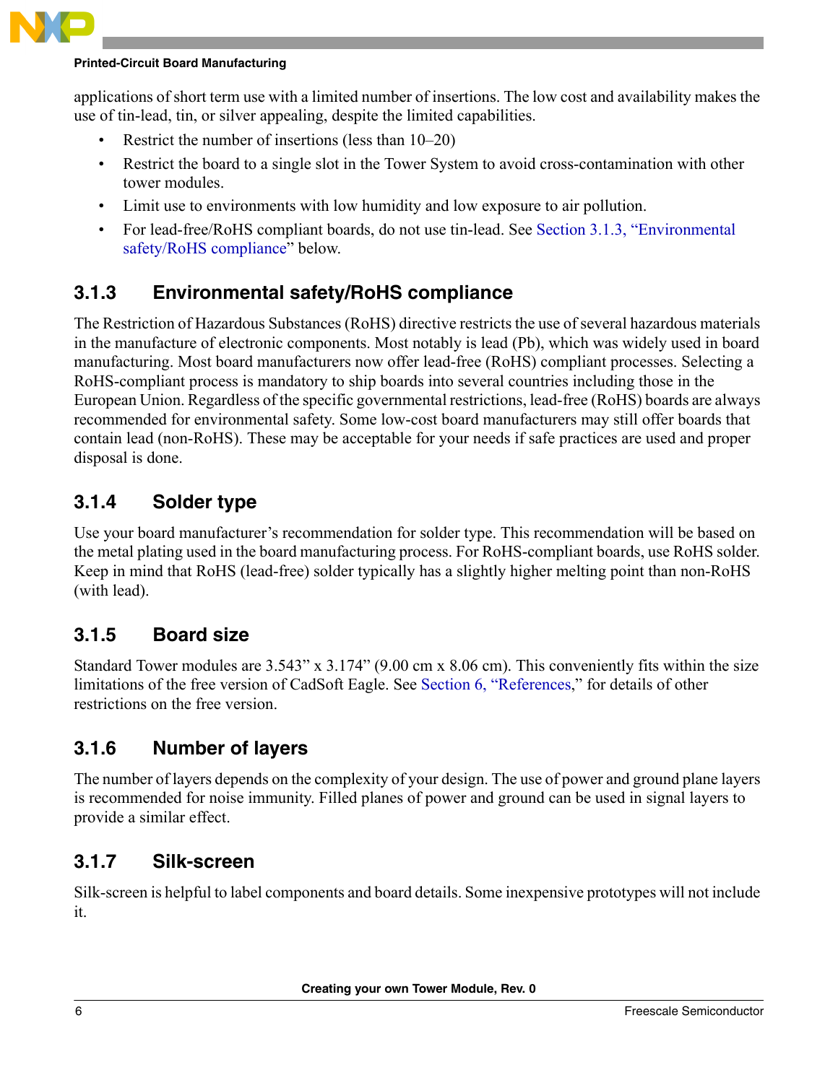

### **Printed-Circuit Board Manufacturing**

applications of short term use with a limited number of insertions. The low cost and availability makes the use of tin-lead, tin, or silver appealing, despite the limited capabilities.

- Restrict the number of insertions (less than 10–20)
- Restrict the board to a single slot in the Tower System to avoid cross-contamination with other tower modules.
- Limit use to environments with low humidity and low exposure to air pollution.
- For lead-free/RoHS compliant boards, do not use tin-lead. See [Section 3.1.3, "Environmental](#page-5-0)  [safety/RoHS compliance"](#page-5-0) below.

# <span id="page-5-0"></span>**3.1.3 Environmental safety/RoHS compliance**

The Restriction of Hazardous Substances (RoHS) directive restricts the use of several hazardous materials in the manufacture of electronic components. Most notably is lead (Pb), which was widely used in board manufacturing. Most board manufacturers now offer lead-free (RoHS) compliant processes. Selecting a RoHS-compliant process is mandatory to ship boards into several countries including those in the European Union. Regardless of the specific governmental restrictions, lead-free (RoHS) boards are always recommended for environmental safety. Some low-cost board manufacturers may still offer boards that contain lead (non-RoHS). These may be acceptable for your needs if safe practices are used and proper disposal is done.

# **3.1.4 Solder type**

Use your board manufacturer's recommendation for solder type. This recommendation will be based on the metal plating used in the board manufacturing process. For RoHS-compliant boards, use RoHS solder. Keep in mind that RoHS (lead-free) solder typically has a slightly higher melting point than non-RoHS (with lead).

### **3.1.5 Board size**

Standard Tower modules are 3.543" x 3.174" (9.00 cm x 8.06 cm). This conveniently fits within the size limitations of the free version of CadSoft Eagle. See [Section 6, "References](#page-14-0)," for details of other restrictions on the free version.

# **3.1.6 Number of layers**

The number of layers depends on the complexity of your design. The use of power and ground plane layers is recommended for noise immunity. Filled planes of power and ground can be used in signal layers to provide a similar effect.

# **3.1.7 Silk-screen**

Silk-screen is helpful to label components and board details. Some inexpensive prototypes will not include it.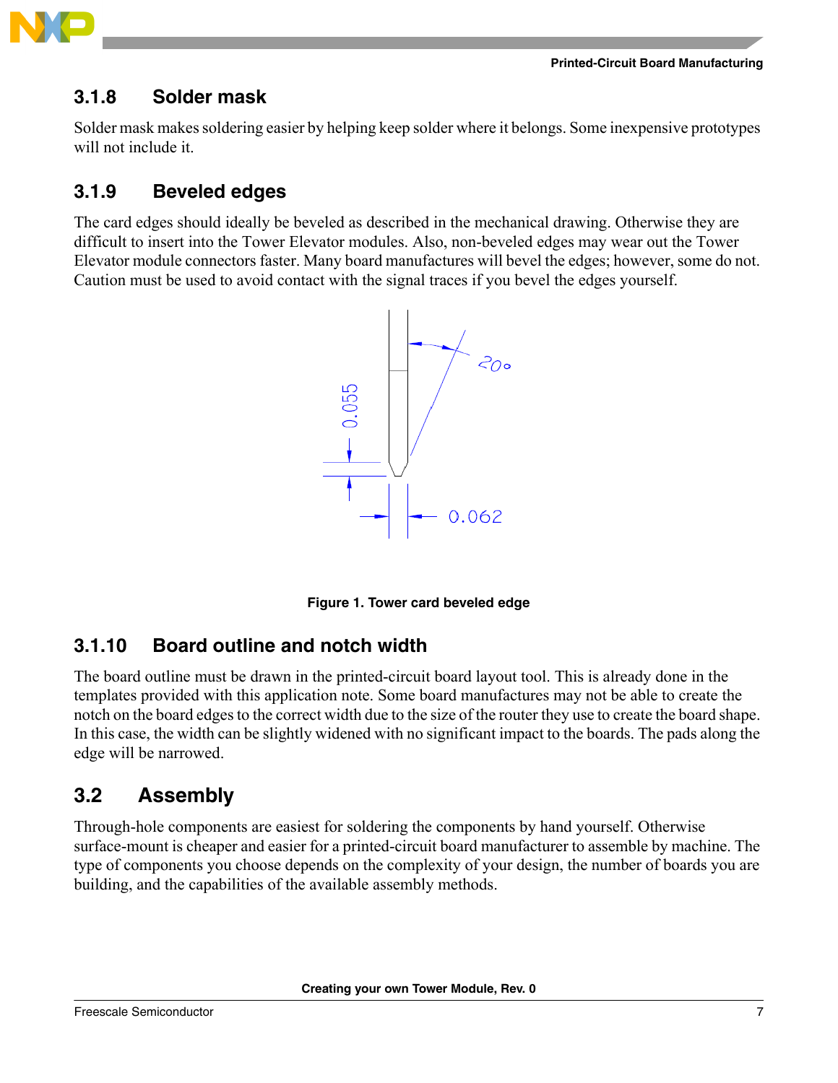

### **3.1.8 Solder mask**

Solder mask makes soldering easier by helping keep solder where it belongs. Some inexpensive prototypes will not include it.

# **3.1.9 Beveled edges**

The card edges should ideally be beveled as described in the mechanical drawing. Otherwise they are difficult to insert into the Tower Elevator modules. Also, non-beveled edges may wear out the Tower Elevator module connectors faster. Many board manufactures will bevel the edges; however, some do not. Caution must be used to avoid contact with the signal traces if you bevel the edges yourself.



**Figure 1. Tower card beveled edge**

# **3.1.10 Board outline and notch width**

The board outline must be drawn in the printed-circuit board layout tool. This is already done in the templates provided with this application note. Some board manufactures may not be able to create the notch on the board edges to the correct width due to the size of the router they use to create the board shape. In this case, the width can be slightly widened with no significant impact to the boards. The pads along the edge will be narrowed.

# <span id="page-6-0"></span>**3.2 Assembly**

Through-hole components are easiest for soldering the components by hand yourself. Otherwise surface-mount is cheaper and easier for a printed-circuit board manufacturer to assemble by machine. The type of components you choose depends on the complexity of your design, the number of boards you are building, and the capabilities of the available assembly methods.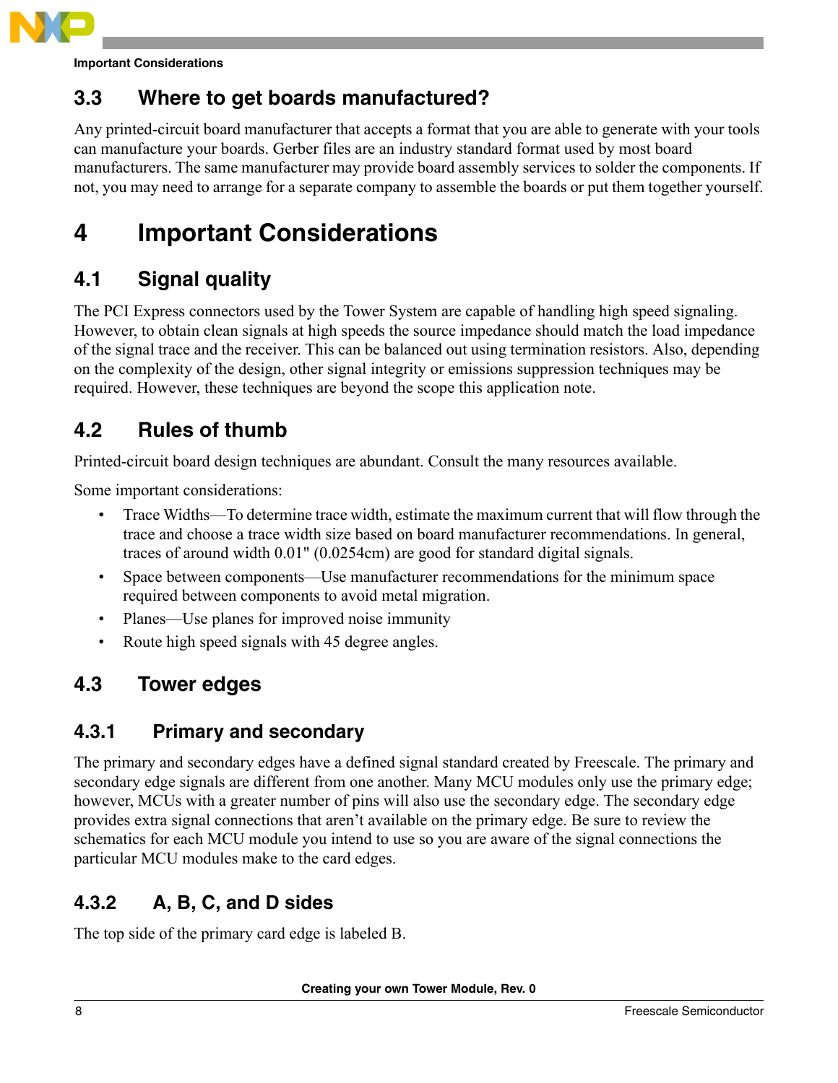

**Important Considerations**

# <span id="page-7-0"></span>**3.3 Where to get boards manufactured?**

Any printed-circuit board manufacturer that accepts a format that you are able to generate with your tools can manufacture your boards. Gerber files are an industry standard format used by most board manufacturers. The same manufacturer may provide board assembly services to solder the components. If not, you may need to arrange for a separate company to assemble the boards or put them together yourself.

# <span id="page-7-1"></span>**4 Important Considerations**

# <span id="page-7-2"></span>**4.1 Signal quality**

The PCI Express connectors used by the Tower System are capable of handling high speed signaling. However, to obtain clean signals at high speeds the source impedance should match the load impedance of the signal trace and the receiver. This can be balanced out using termination resistors. Also, depending on the complexity of the design, other signal integrity or emissions suppression techniques may be required. However, these techniques are beyond the scope this application note.

# <span id="page-7-3"></span>**4.2 Rules of thumb**

Printed-circuit board design techniques are abundant. Consult the many resources available.

Some important considerations:

- Trace Widths—To determine trace width, estimate the maximum current that will flow through the trace and choose a trace width size based on board manufacturer recommendations. In general, traces of around width 0.01" (0.0254cm) are good for standard digital signals.
- Space between components—Use manufacturer recommendations for the minimum space required between components to avoid metal migration.
- Planes—Use planes for improved noise immunity
- Route high speed signals with 45 degree angles.

# <span id="page-7-4"></span>**4.3 Tower edges**

# **4.3.1 Primary and secondary**

The primary and secondary edges have a defined signal standard created by Freescale. The primary and secondary edge signals are different from one another. Many MCU modules only use the primary edge; however, MCUs with a greater number of pins will also use the secondary edge. The secondary edge provides extra signal connections that aren't available on the primary edge. Be sure to review the schematics for each MCU module you intend to use so you are aware of the signal connections the particular MCU modules make to the card edges.

# **4.3.2 A, B, C, and D sides**

The top side of the primary card edge is labeled B.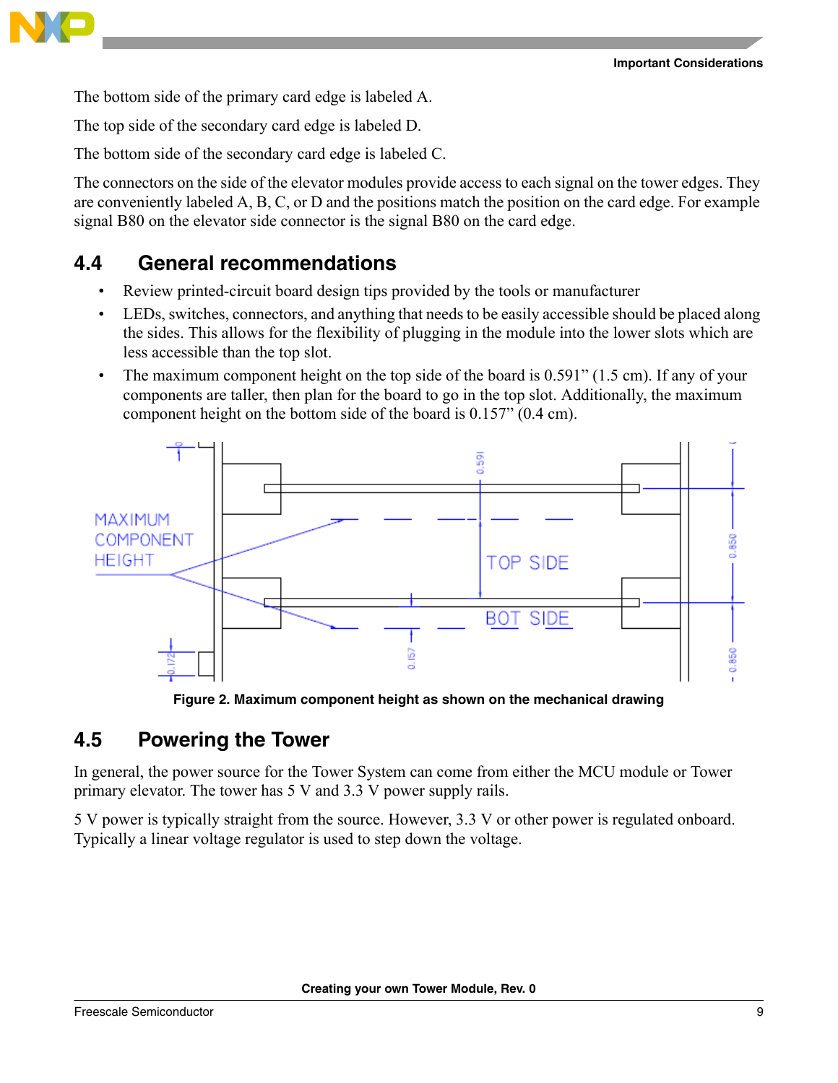

The bottom side of the primary card edge is labeled A.

The top side of the secondary card edge is labeled D.

The bottom side of the secondary card edge is labeled C.

The connectors on the side of the elevator modules provide access to each signal on the tower edges. They are conveniently labeled A, B, C, or D and the positions match the position on the card edge. For example signal B80 on the elevator side connector is the signal B80 on the card edge.

### <span id="page-8-0"></span>**4.4 General recommendations**

- Review printed-circuit board design tips provided by the tools or manufacturer
- LEDs, switches, connectors, and anything that needs to be easily accessible should be placed along the sides. This allows for the flexibility of plugging in the module into the lower slots which are less accessible than the top slot.
- The maximum component height on the top side of the board is 0.591" (1.5 cm). If any of your components are taller, then plan for the board to go in the top slot. Additionally, the maximum component height on the bottom side of the board is 0.157" (0.4 cm).



**Figure 2. Maximum component height as shown on the mechanical drawing**

# <span id="page-8-1"></span>**4.5 Powering the Tower**

In general, the power source for the Tower System can come from either the MCU module or Tower primary elevator. The tower has 5 V and 3.3 V power supply rails.

5 V power is typically straight from the source. However, 3.3 V or other power is regulated onboard. Typically a linear voltage regulator is used to step down the voltage.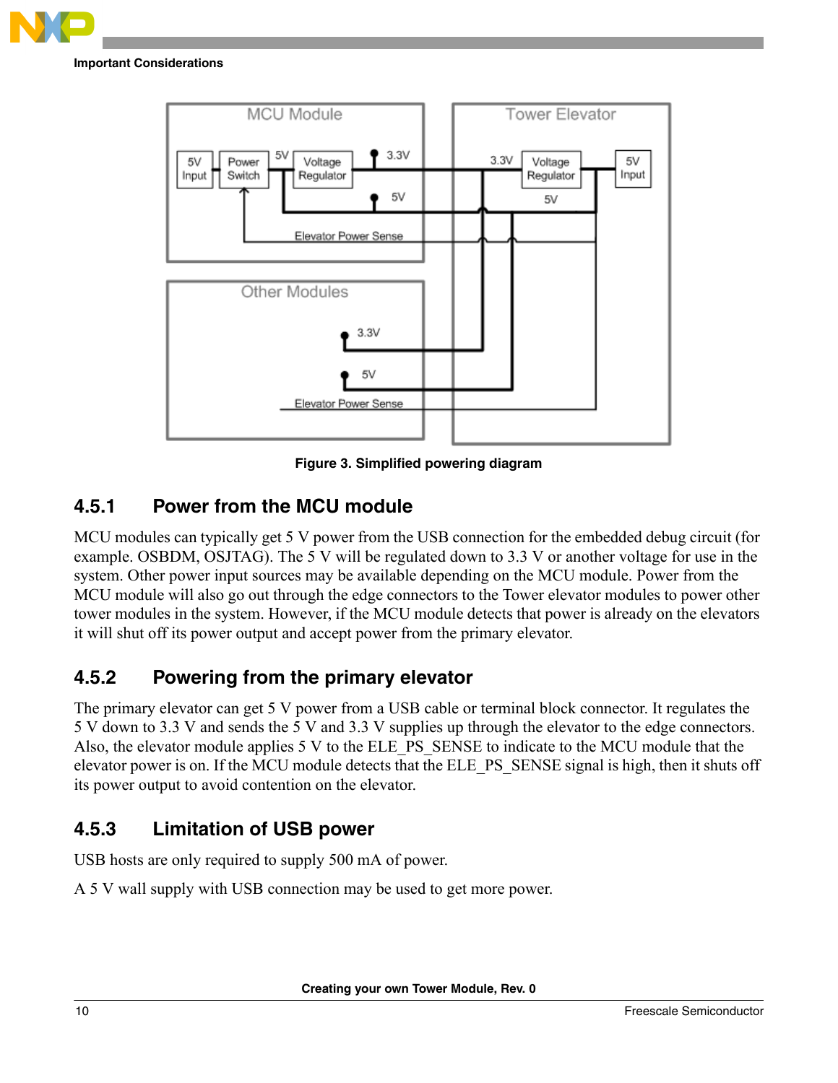

**Important Considerations**



**Figure 3. Simplified powering diagram**

# **4.5.1 Power from the MCU module**

MCU modules can typically get 5 V power from the USB connection for the embedded debug circuit (for example. OSBDM, OSJTAG). The 5 V will be regulated down to 3.3 V or another voltage for use in the system. Other power input sources may be available depending on the MCU module. Power from the MCU module will also go out through the edge connectors to the Tower elevator modules to power other tower modules in the system. However, if the MCU module detects that power is already on the elevators it will shut off its power output and accept power from the primary elevator.

# **4.5.2 Powering from the primary elevator**

The primary elevator can get 5 V power from a USB cable or terminal block connector. It regulates the 5 V down to 3.3 V and sends the 5 V and 3.3 V supplies up through the elevator to the edge connectors. Also, the elevator module applies 5 V to the ELE\_PS\_SENSE to indicate to the MCU module that the elevator power is on. If the MCU module detects that the ELE\_PS\_SENSE signal is high, then it shuts off its power output to avoid contention on the elevator.

# **4.5.3 Limitation of USB power**

USB hosts are only required to supply 500 mA of power.

A 5 V wall supply with USB connection may be used to get more power.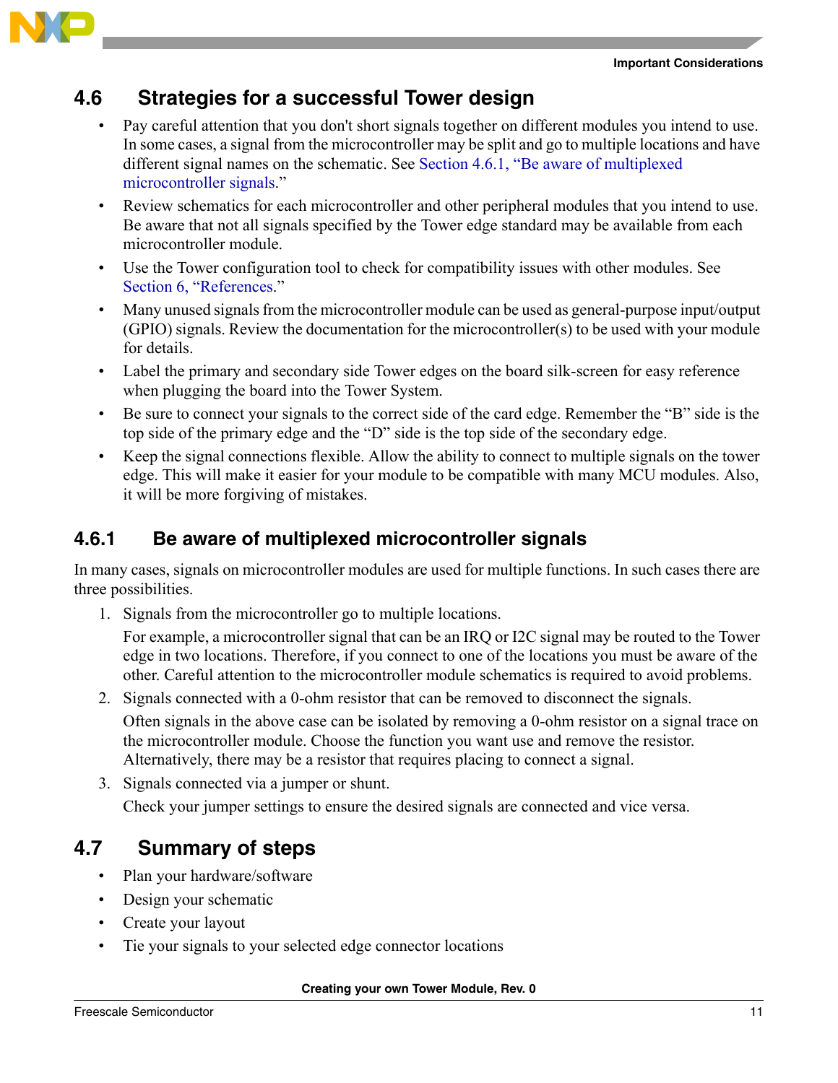

# <span id="page-10-0"></span>**4.6 Strategies for a successful Tower design**

- Pay careful attention that you don't short signals together on different modules you intend to use. In some cases, a signal from the microcontroller may be split and go to multiple locations and have different signal names on the schematic. See [Section 4.6.1, "Be aware of multiplexed](#page-10-2)  [microcontroller signals.](#page-10-2)"
- Review schematics for each microcontroller and other peripheral modules that you intend to use. Be aware that not all signals specified by the Tower edge standard may be available from each microcontroller module.
- Use the Tower configuration tool to check for compatibility issues with other modules. See [Section 6, "References.](#page-14-0)"
- Many unused signals from the microcontroller module can be used as general-purpose input/output (GPIO) signals. Review the documentation for the microcontroller(s) to be used with your module for details.
- Label the primary and secondary side Tower edges on the board silk-screen for easy reference when plugging the board into the Tower System.
- Be sure to connect your signals to the correct side of the card edge. Remember the "B" side is the top side of the primary edge and the "D" side is the top side of the secondary edge.
- Keep the signal connections flexible. Allow the ability to connect to multiple signals on the tower edge. This will make it easier for your module to be compatible with many MCU modules. Also, it will be more forgiving of mistakes.

### <span id="page-10-2"></span>**4.6.1 Be aware of multiplexed microcontroller signals**

In many cases, signals on microcontroller modules are used for multiple functions. In such cases there are three possibilities.

1. Signals from the microcontroller go to multiple locations.

For example, a microcontroller signal that can be an IRQ or I2C signal may be routed to the Tower edge in two locations. Therefore, if you connect to one of the locations you must be aware of the other. Careful attention to the microcontroller module schematics is required to avoid problems.

2. Signals connected with a 0-ohm resistor that can be removed to disconnect the signals.

Often signals in the above case can be isolated by removing a 0-ohm resistor on a signal trace on the microcontroller module. Choose the function you want use and remove the resistor. Alternatively, there may be a resistor that requires placing to connect a signal.

3. Signals connected via a jumper or shunt. Check your jumper settings to ensure the desired signals are connected and vice versa.

# <span id="page-10-1"></span>**4.7 Summary of steps**

- Plan your hardware/software
- Design your schematic
- Create your layout
- Tie your signals to your selected edge connector locations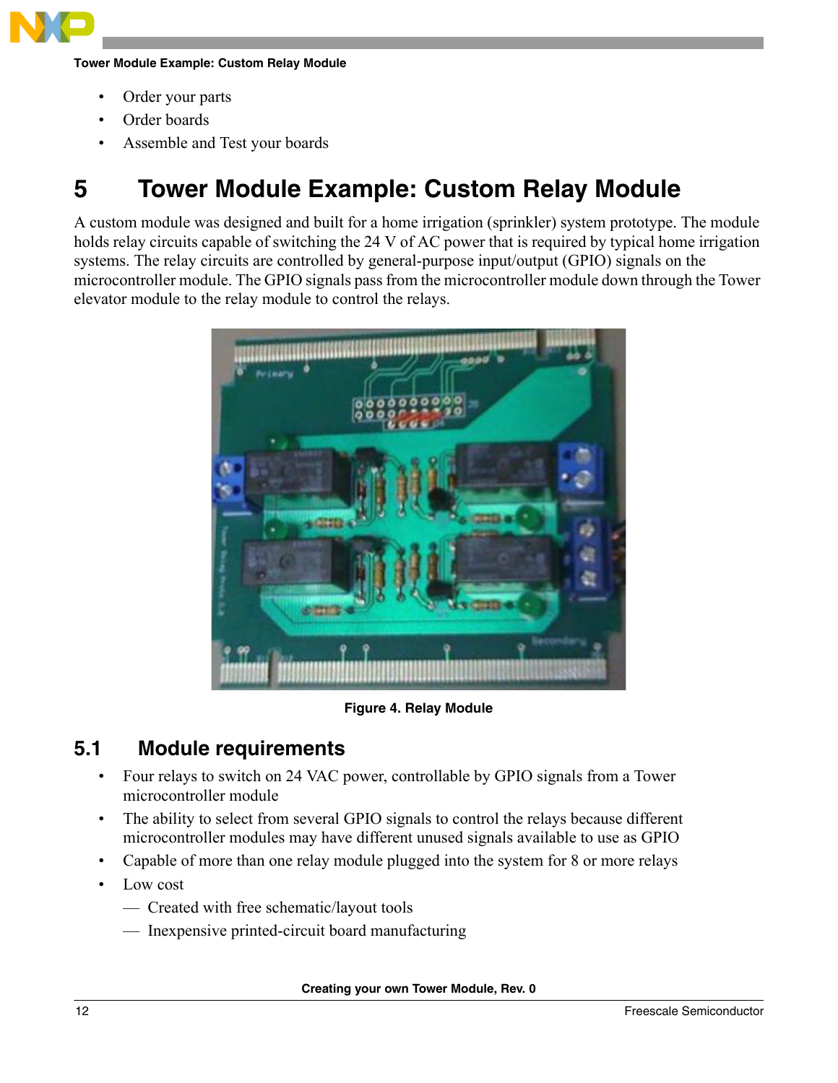

#### **Tower Module Example: Custom Relay Module**

- Order your parts
- Order boards
- Assemble and Test your boards

# <span id="page-11-0"></span>**5 Tower Module Example: Custom Relay Module**

A custom module was designed and built for a home irrigation (sprinkler) system prototype. The module holds relay circuits capable of switching the 24 V of AC power that is required by typical home irrigation systems. The relay circuits are controlled by general-purpose input/output (GPIO) signals on the microcontroller module. The GPIO signals pass from the microcontroller module down through the Tower elevator module to the relay module to control the relays.



**Figure 4. Relay Module**

# <span id="page-11-1"></span>**5.1 Module requirements**

- Four relays to switch on 24 VAC power, controllable by GPIO signals from a Tower microcontroller module
- The ability to select from several GPIO signals to control the relays because different microcontroller modules may have different unused signals available to use as GPIO
- Capable of more than one relay module plugged into the system for 8 or more relays
- Low cost
	- Created with free schematic/layout tools
	- Inexpensive printed-circuit board manufacturing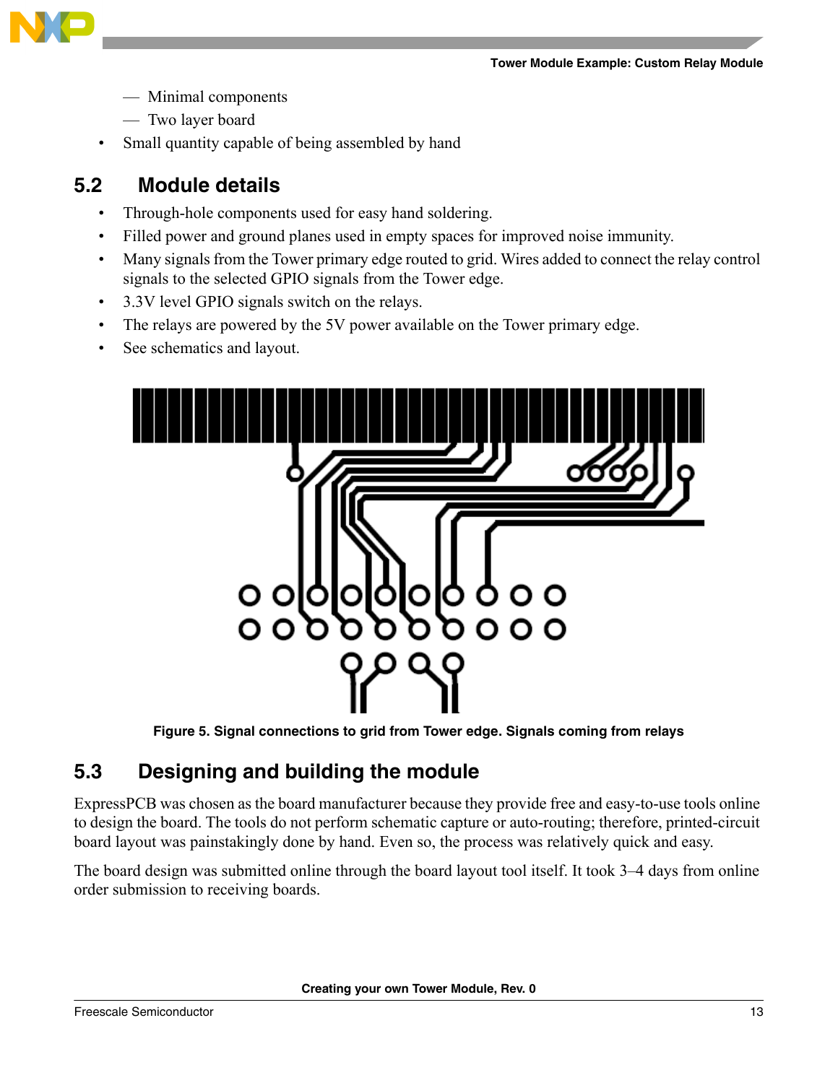

- Minimal components
- Two layer board
- Small quantity capable of being assembled by hand

# <span id="page-12-0"></span>**5.2 Module details**

- Through-hole components used for easy hand soldering.
- Filled power and ground planes used in empty spaces for improved noise immunity.
- Many signals from the Tower primary edge routed to grid. Wires added to connect the relay control signals to the selected GPIO signals from the Tower edge.
- 3.3V level GPIO signals switch on the relays.
- The relays are powered by the 5V power available on the Tower primary edge.
- See schematics and layout.



**Figure 5. Signal connections to grid from Tower edge. Signals coming from relays**

# <span id="page-12-1"></span>**5.3 Designing and building the module**

ExpressPCB was chosen as the board manufacturer because they provide free and easy-to-use tools online to design the board. The tools do not perform schematic capture or auto-routing; therefore, printed-circuit board layout was painstakingly done by hand. Even so, the process was relatively quick and easy.

The board design was submitted online through the board layout tool itself. It took 3–4 days from online order submission to receiving boards.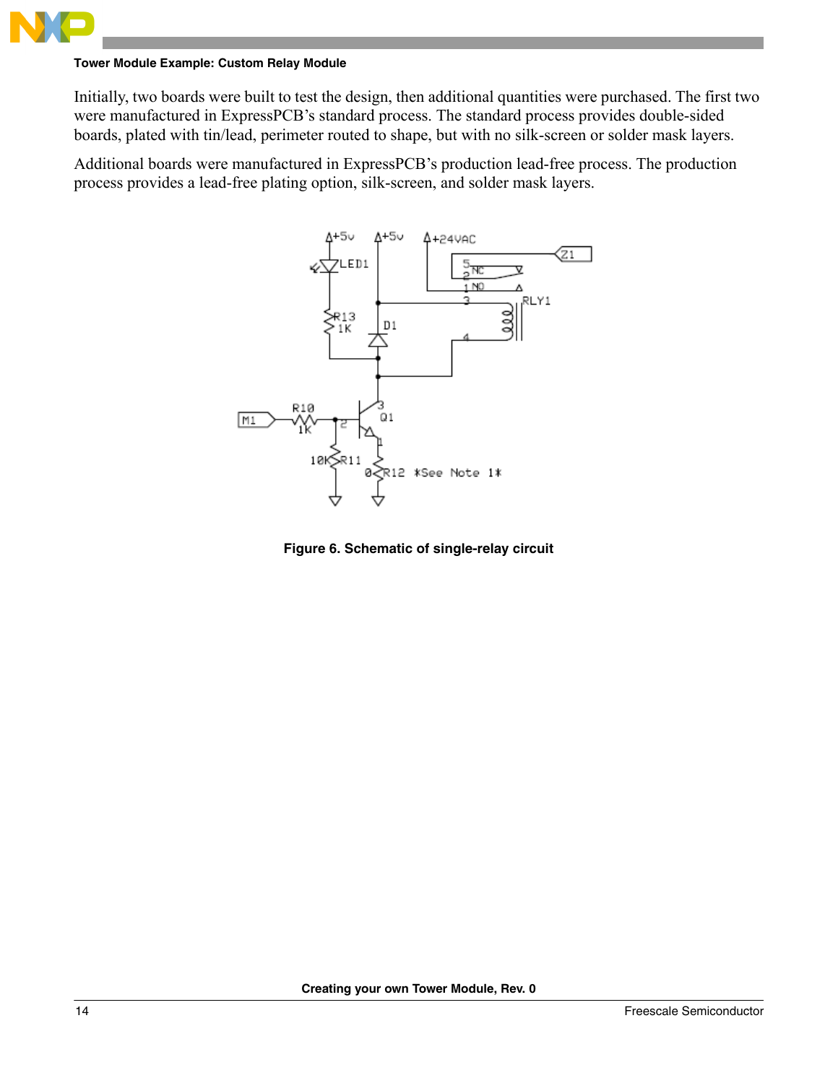

#### **Tower Module Example: Custom Relay Module**

Initially, two boards were built to test the design, then additional quantities were purchased. The first two were manufactured in ExpressPCB's standard process. The standard process provides double-sided boards, plated with tin/lead, perimeter routed to shape, but with no silk-screen or solder mask layers.

Additional boards were manufactured in ExpressPCB's production lead-free process. The production process provides a lead-free plating option, silk-screen, and solder mask layers.



**Figure 6. Schematic of single-relay circuit**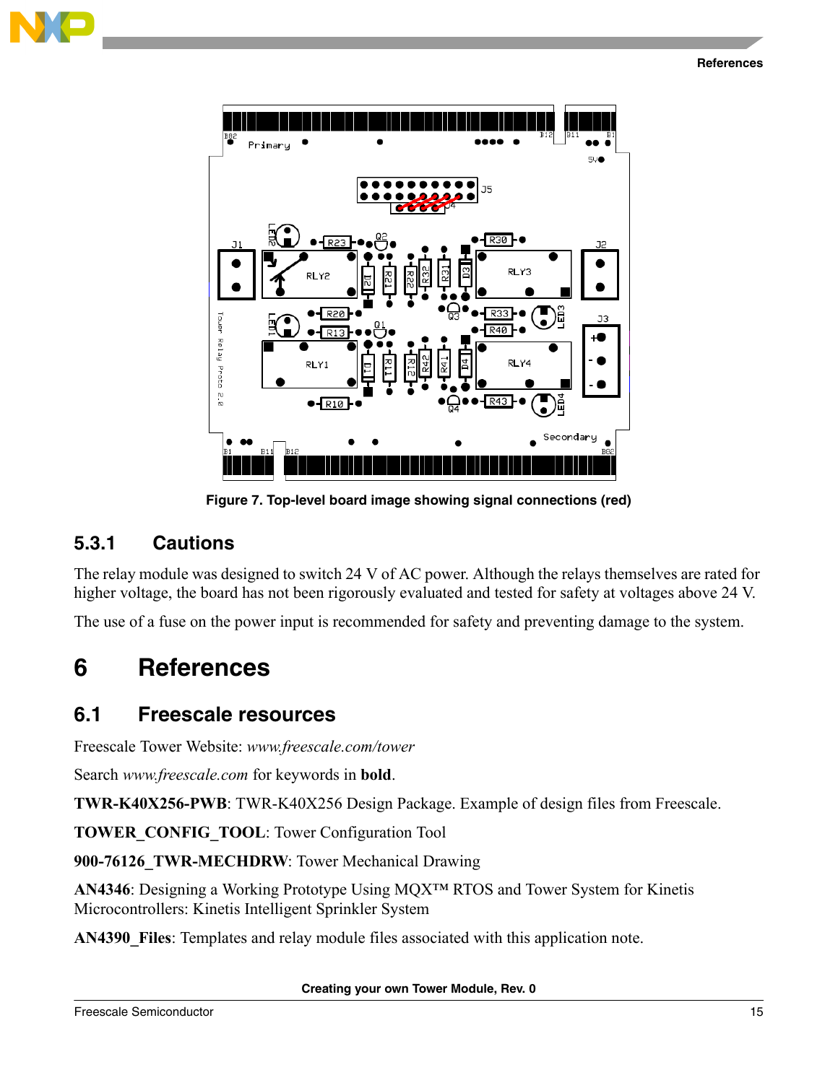



**Figure 7. Top-level board image showing signal connections (red)**

### **5.3.1 Cautions**

The relay module was designed to switch 24 V of AC power. Although the relays themselves are rated for higher voltage, the board has not been rigorously evaluated and tested for safety at voltages above 24 V.

The use of a fuse on the power input is recommended for safety and preventing damage to the system.

# <span id="page-14-0"></span>**6 References**

# <span id="page-14-1"></span>**6.1 Freescale resources**

Freescale Tower Website: *www.freescale.com/tower*

Search *www.freescale.com* for keywords in **bold**.

**TWR-K40X256-PWB**: TWR-K40X256 Design Package. Example of design files from Freescale.

**TOWER\_CONFIG\_TOOL**: Tower Configuration Tool

**900-76126\_TWR-MECHDRW**: Tower Mechanical Drawing

**AN4346**: Designing a Working Prototype Using MQX™ RTOS and Tower System for Kinetis Microcontrollers: Kinetis Intelligent Sprinkler System

**AN4390\_Files**: Templates and relay module files associated with this application note.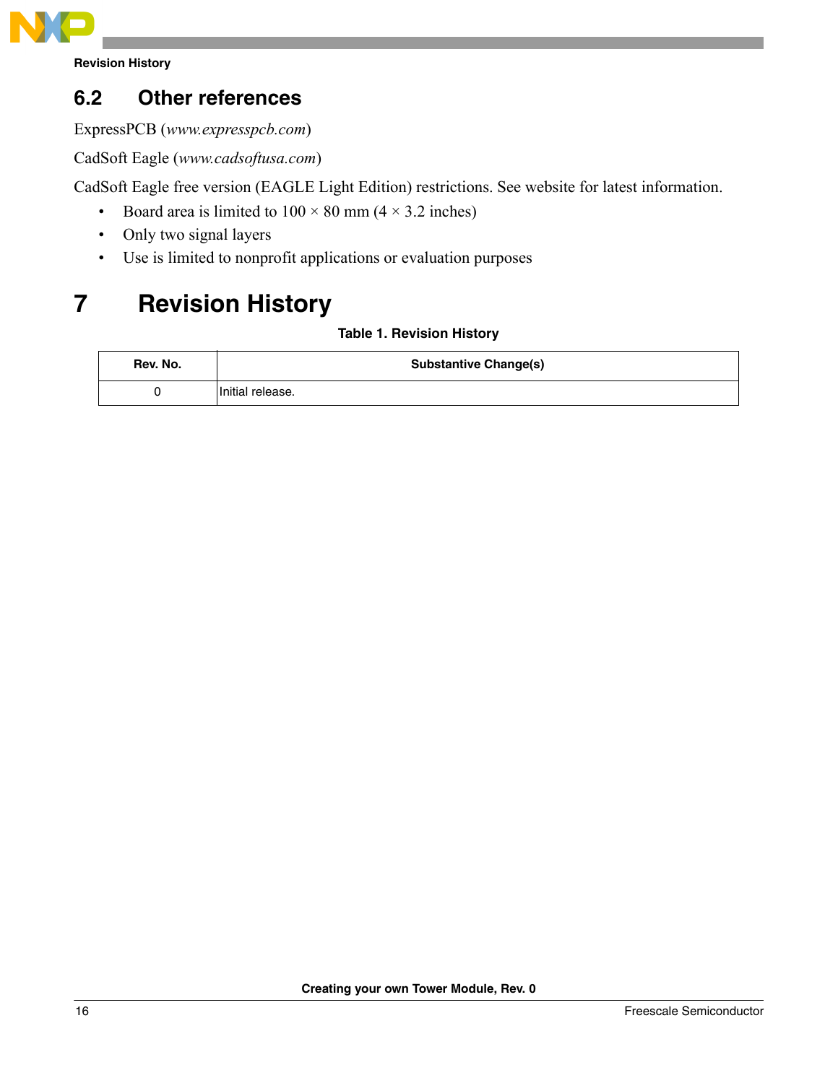

**Revision History**

# <span id="page-15-0"></span>**6.2 Other references**

ExpressPCB (*www.expresspcb.com*)

CadSoft Eagle (*www.cadsoftusa.com*)

CadSoft Eagle free version (EAGLE Light Edition) restrictions. See website for latest information.

- Board area is limited to  $100 \times 80$  mm  $(4 \times 3.2$  inches)
- Only two signal layers
- Use is limited to nonprofit applications or evaluation purposes

# <span id="page-15-1"></span>**7 Revision History**

### **Table 1. Revision History**

| Rev. No. | <b>Substantive Change(s)</b> |
|----------|------------------------------|
|          | Initial release.             |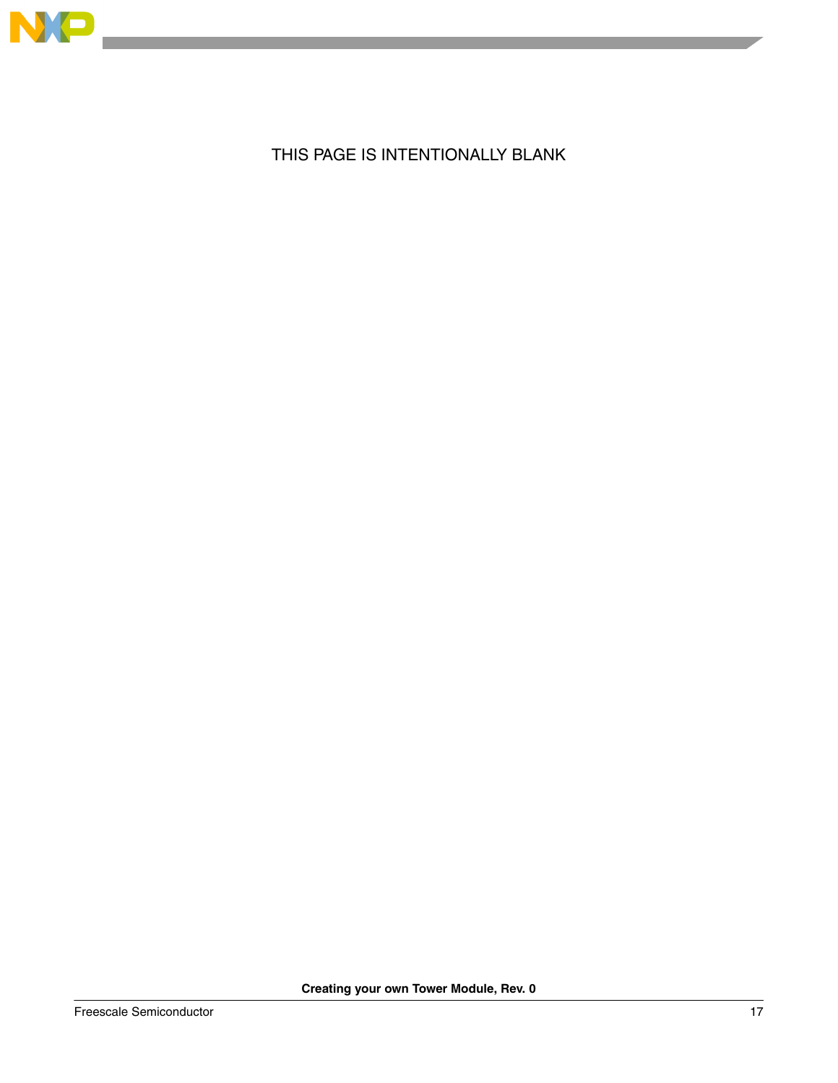

THIS PAGE IS INTENTIONALLY BLANK